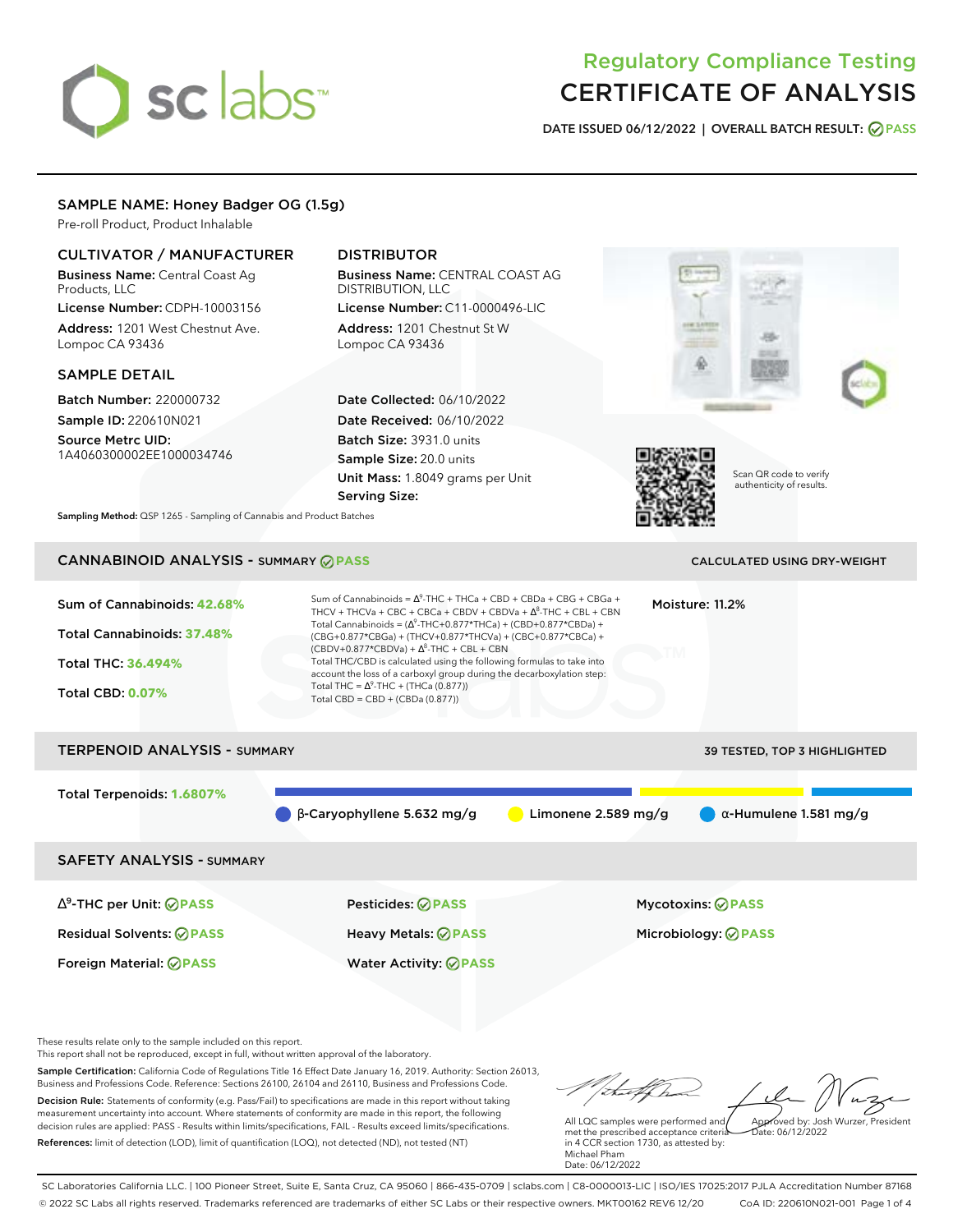# sclabs<sup>\*</sup>

## Regulatory Compliance Testing CERTIFICATE OF ANALYSIS

**DATE ISSUED 06/12/2022 | OVERALL BATCH RESULT: PASS**

## SAMPLE NAME: Honey Badger OG (1.5g)

Pre-roll Product, Product Inhalable

## CULTIVATOR / MANUFACTURER

Business Name: Central Coast Ag Products, LLC

License Number: CDPH-10003156 Address: 1201 West Chestnut Ave. Lompoc CA 93436

#### SAMPLE DETAIL

Batch Number: 220000732 Sample ID: 220610N021

Source Metrc UID: 1A4060300002EE1000034746

## DISTRIBUTOR

Business Name: CENTRAL COAST AG DISTRIBUTION, LLC License Number: C11-0000496-LIC

Address: 1201 Chestnut St W Lompoc CA 93436

Date Collected: 06/10/2022 Date Received: 06/10/2022 Batch Size: 3931.0 units Sample Size: 20.0 units Unit Mass: 1.8049 grams per Unit Serving Size:





Scan QR code to verify authenticity of results.

**Sampling Method:** QSP 1265 - Sampling of Cannabis and Product Batches

## CANNABINOID ANALYSIS - SUMMARY **PASS** CALCULATED USING DRY-WEIGHT

| Sum of Cannabinoids: 42.68%<br>Total Cannabinoids: 37.48%<br><b>Total THC: 36.494%</b><br><b>Total CBD: 0.07%</b> | Sum of Cannabinoids = $\Lambda^9$ -THC + THCa + CBD + CBDa + CBG + CBGa +<br>THCV + THCVa + CBC + CBCa + CBDV + CBDVa + $\Delta^8$ -THC + CBL + CBN<br>Total Cannabinoids = $(\Delta^9$ -THC+0.877*THCa) + (CBD+0.877*CBDa) +<br>(CBG+0.877*CBGa) + (THCV+0.877*THCVa) + (CBC+0.877*CBCa) +<br>$(CBDV+0.877*CBDVa) + \Delta^8$ -THC + CBL + CBN<br>Total THC/CBD is calculated using the following formulas to take into<br>account the loss of a carboxyl group during the decarboxylation step:<br>Total THC = $\Delta^9$ -THC + (THCa (0.877))<br>Total CBD = $CBD + (CBDa (0.877))$ |                     | Moisture: 11.2%                                         |                               |
|-------------------------------------------------------------------------------------------------------------------|-----------------------------------------------------------------------------------------------------------------------------------------------------------------------------------------------------------------------------------------------------------------------------------------------------------------------------------------------------------------------------------------------------------------------------------------------------------------------------------------------------------------------------------------------------------------------------------------|---------------------|---------------------------------------------------------|-------------------------------|
| <b>TERPENOID ANALYSIS - SUMMARY</b>                                                                               |                                                                                                                                                                                                                                                                                                                                                                                                                                                                                                                                                                                         |                     |                                                         | 39 TESTED, TOP 3 HIGHLIGHTED  |
| Total Terpenoids: 1.6807%                                                                                         | $\beta$ -Caryophyllene 5.632 mg/g                                                                                                                                                                                                                                                                                                                                                                                                                                                                                                                                                       | Limonene 2.589 mg/g |                                                         | $\alpha$ -Humulene 1.581 mg/g |
| <b>SAFETY ANALYSIS - SUMMARY</b>                                                                                  |                                                                                                                                                                                                                                                                                                                                                                                                                                                                                                                                                                                         |                     |                                                         |                               |
| $\Delta^9$ -THC per Unit: $\oslash$ PASS<br><b>Residual Solvents: ⊘PASS</b>                                       | Pesticides: <b>⊘</b> PASS<br>Heavy Metals: @PASS                                                                                                                                                                                                                                                                                                                                                                                                                                                                                                                                        |                     | <b>Mycotoxins: ⊘PASS</b><br>Microbiology: <b>⊘ PASS</b> |                               |

These results relate only to the sample included on this report.

This report shall not be reproduced, except in full, without written approval of the laboratory.

Sample Certification: California Code of Regulations Title 16 Effect Date January 16, 2019. Authority: Section 26013, Business and Professions Code. Reference: Sections 26100, 26104 and 26110, Business and Professions Code. Decision Rule: Statements of conformity (e.g. Pass/Fail) to specifications are made in this report without taking measurement uncertainty into account. Where statements of conformity are made in this report, the following decision rules are applied: PASS - Results within limits/specifications, FAIL - Results exceed limits/specifications.

Foreign Material: **PASS** Water Activity: **PASS**

References: limit of detection (LOD), limit of quantification (LOQ), not detected (ND), not tested (NT)

tal f ha Approved by: Josh Wurzer, President

Date: 06/12/2022

All LQC samples were performed and met the prescribed acceptance criteria in 4 CCR section 1730, as attested by: Michael Pham Date: 06/12/2022

SC Laboratories California LLC. | 100 Pioneer Street, Suite E, Santa Cruz, CA 95060 | 866-435-0709 | sclabs.com | C8-0000013-LIC | ISO/IES 17025:2017 PJLA Accreditation Number 87168 © 2022 SC Labs all rights reserved. Trademarks referenced are trademarks of either SC Labs or their respective owners. MKT00162 REV6 12/20 CoA ID: 220610N021-001 Page 1 of 4